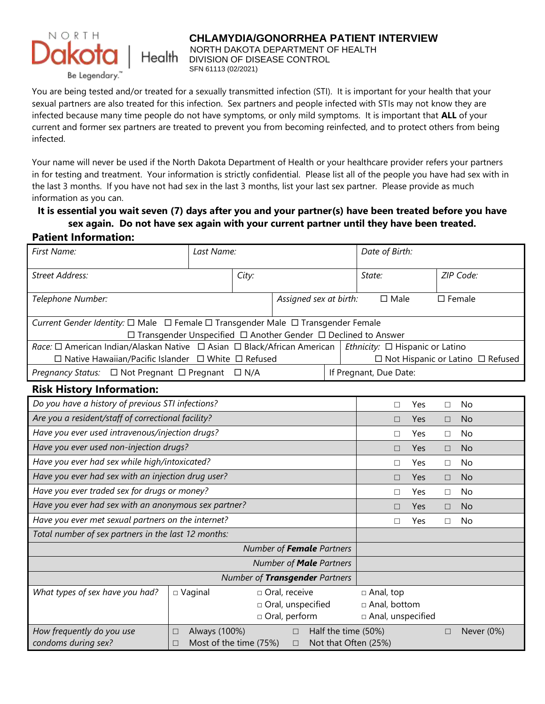

#### **CHLAMYDIA/GONORRHEA PATIENT INTERVIEW**

NORTH DAKOTA DEPARTMENT OF HEALTH DIVISION OF DISEASE CONTROL

You are being tested and/or treated for a sexually transmitted infection (STI). It is important for your health that your sexual partners are also treated for this infection. Sex partners and people infected with STIs may not know they are infected because many time people do not have symptoms, or only mild symptoms. It is important that **ALL** of your current and former sex partners are treated to prevent you from becoming reinfected, and to protect others from being infected.

Your name will never be used if the North Dakota Department of Health or your healthcare provider refers your partners in for testing and treatment. Your information is strictly confidential. Please list all of the people you have had sex with in the last 3 months. If you have not had sex in the last 3 months, list your last sex partner. Please provide as much information as you can.

# **It is essential you wait seven (7) days after you and your partner(s) have been treated before you have sex again. Do not have sex again with your current partner until they have been treated.**

#### **Patient Information:**

| First Name:                                                                                                                                                        | Last Name:                       |                        | Date of Birth:                                                                       |        |                                       |           |           |                  |            |
|--------------------------------------------------------------------------------------------------------------------------------------------------------------------|----------------------------------|------------------------|--------------------------------------------------------------------------------------|--------|---------------------------------------|-----------|-----------|------------------|------------|
| <b>Street Address:</b>                                                                                                                                             | City:                            |                        |                                                                                      | State: |                                       |           | ZIP Code: |                  |            |
| Telephone Number:                                                                                                                                                  |                                  |                        | Assigned sex at birth:                                                               |        | $\square$ Male                        |           |           | $\square$ Female |            |
| Current Gender Identity: □ Male □ Female □ Transgender Male □ Transgender Female<br>$\Box$ Transgender Unspecified $\Box$ Another Gender $\Box$ Declined to Answer |                                  |                        |                                                                                      |        |                                       |           |           |                  |            |
| Race: □ American Indian/Alaskan Native □ Asian □ Black/African American<br>$\Box$ Native Hawaiian/Pacific Islander $\Box$ White $\Box$ Refused                     |                                  |                        | Ethnicity: $\Box$ Hispanic or Latino<br>$\Box$ Not Hispanic or Latino $\Box$ Refused |        |                                       |           |           |                  |            |
| Pregnancy Status: □ Not Pregnant □ Pregnant □ N/A                                                                                                                  |                                  | If Pregnant, Due Date: |                                                                                      |        |                                       |           |           |                  |            |
| <b>Risk History Information:</b>                                                                                                                                   |                                  |                        |                                                                                      |        |                                       |           |           |                  |            |
| Do you have a history of previous STI infections?                                                                                                                  |                                  |                        | П                                                                                    | Yes    | П                                     | <b>No</b> |           |                  |            |
| Are you a resident/staff of correctional facility?                                                                                                                 |                                  |                        |                                                                                      |        | П                                     | Yes       | $\Box$    | No               |            |
| Have you ever used intravenous/injection drugs?                                                                                                                    |                                  |                        |                                                                                      |        | П                                     | Yes       | П         | <b>No</b>        |            |
| Have you ever used non-injection drugs?                                                                                                                            |                                  |                        |                                                                                      |        | П                                     | Yes       | $\Box$    | <b>No</b>        |            |
| Have you ever had sex while high/intoxicated?                                                                                                                      |                                  |                        | $\Box$                                                                               | Yes    | $\Box$                                | No        |           |                  |            |
| Have you ever had sex with an injection drug user?                                                                                                                 |                                  |                        | $\Box$                                                                               | Yes    | $\Box$                                | <b>No</b> |           |                  |            |
| Have you ever traded sex for drugs or money?                                                                                                                       |                                  |                        | П                                                                                    | Yes    | $\Box$                                | No        |           |                  |            |
| Have you ever had sex with an anonymous sex partner?                                                                                                               |                                  |                        | П                                                                                    | Yes    | П                                     | <b>No</b> |           |                  |            |
| Have you ever met sexual partners on the internet?                                                                                                                 |                                  |                        | П                                                                                    | Yes    | П                                     | No        |           |                  |            |
| Total number of sex partners in the last 12 months:                                                                                                                |                                  |                        |                                                                                      |        |                                       |           |           |                  |            |
| Number of Female Partners                                                                                                                                          |                                  |                        |                                                                                      |        |                                       |           |           |                  |            |
| Number of <b>Male</b> Partners                                                                                                                                     |                                  |                        |                                                                                      |        |                                       |           |           |                  |            |
| Number of Transgender Partners                                                                                                                                     |                                  |                        |                                                                                      |        |                                       |           |           |                  |            |
| What types of sex have you had?                                                                                                                                    | $\Box$ Vaginal                   |                        | □ Oral, receive                                                                      |        | $\Box$ Anal, top                      |           |           |                  |            |
|                                                                                                                                                                    |                                  |                        | Oral, unspecified<br>□ Oral, perform                                                 |        | □ Anal, bottom<br>□ Anal, unspecified |           |           |                  |            |
| How frequently do you use                                                                                                                                          | Always (100%)                    |                        | $\Box$                                                                               |        | Half the time (50%)                   |           |           |                  | Never (0%) |
| condoms during sex?                                                                                                                                                | □<br>Most of the time (75%)<br>П |                        | $\Box$                                                                               |        | Not that Often (25%)                  |           | $\Box$    |                  |            |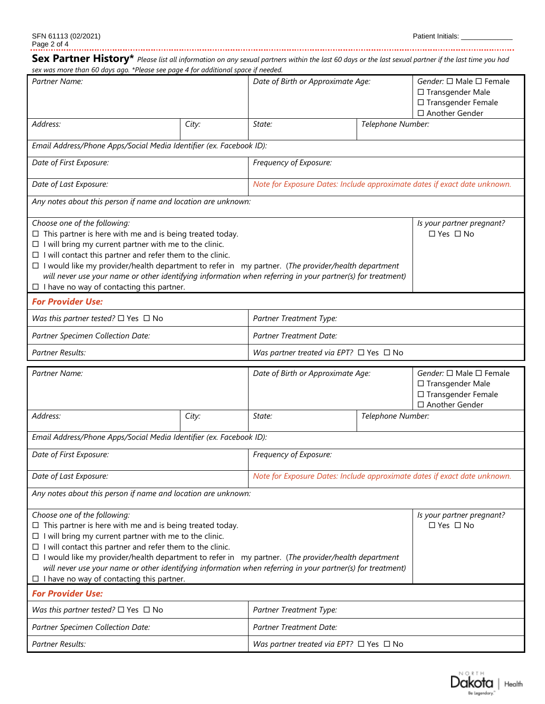**Sex Partner History\*** *Please list all information on any sexual partners within the last 60 days or the last sexual partner if the last time you had sex was more than 60 days ago. \*Please see page 4 for additional space if needed. Partner Name: Date of Birth or Approximate Age: Gender:* □ Male □ Female □ Transgender Male □ Transgender Female □ Another Gender *Address: City: State: Telephone Number: Email Address/Phone Apps/Social Media Identifier (ex. Facebook ID): Date of First Exposure: Frequency of Exposure: Date of Last Exposure: Note for Exposure Dates: Include approximate dates if exact date unknown. Any notes about this person if name and location are unknown: Choose one of the following: Is your partner pregnant?*   $\Box$  This partner is here with me and is being treated today. □ Yes □ No  $\Box$  I will bring my current partner with me to the clinic.  $\Box$  I will contact this partner and refer them to the clinic. I would like my provider/health department to refer in my partner. (*The provider/health department will never use your name or other identifying information when referring in your partner(s) for treatment)*  $\Box$  I have no way of contacting this partner. *For Provider Use: Was this partner tested?* □ Yes □ No *Partner Treatment Type: Partner Specimen Collection Date: Partner Treatment Date: Partner Results:*  $\Box$  No *Partner Name: Date of Birth or Approximate Age:* **Gender:** □ Male □ Female □ Transgender Male □ Transgender Female □ Another Gender *Address: City: State: Telephone Number: Email Address/Phone Apps/Social Media Identifier (ex. Facebook ID): Date of First Exposure: Frequency of Exposure: Date of Last Exposure: Note for Exposure Dates: Include approximate dates if exact date unknown. Any notes about this person if name and location are unknown: Choose one of the following: Is your partner pregnant?*   $\Box$  This partner is here with me and is being treated today. □ Yes □ No  $\Box$  I will bring my current partner with me to the clinic.  $\Box$  I will contact this partner and refer them to the clinic. I would like my provider/health department to refer in my partner. (*The provider/health department will never use your name or other identifying information when referring in your partner(s) for treatment)*  $\Pi$  I have no way of contacting this partner.

| <b>For Provider Use:</b>                             |                                                   |  |  |  |
|------------------------------------------------------|---------------------------------------------------|--|--|--|
| <i>Was this partner tested?</i> $\Box$ Yes $\Box$ No | Partner Treatment Type:                           |  |  |  |
| Partner Specimen Collection Date:                    | Partner Treatment Date:                           |  |  |  |
| Partner Results:                                     | Was partner treated via EPT? $\Box$ Yes $\Box$ No |  |  |  |

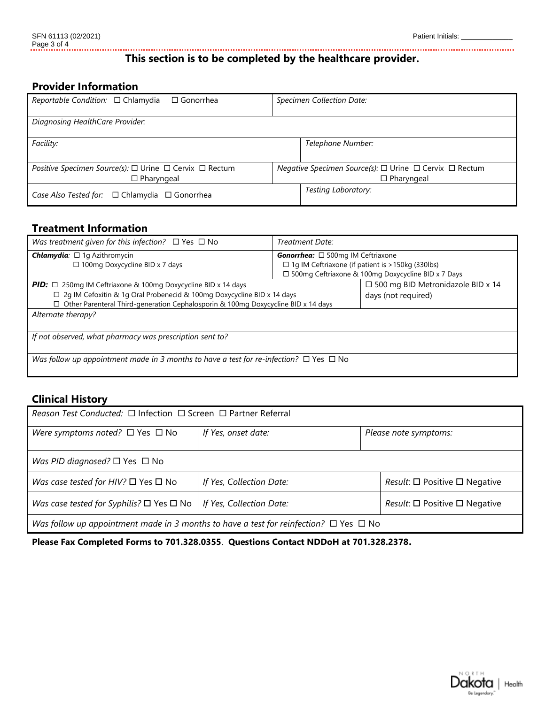### **This section is to be completed by the healthcare provider.**

## **Provider Information**

| <i>Reportable Condition:</i> $\Box$ Chlamydia<br>$\Box$ Gonorrhea | Specimen Collection Date:                              |  |  |  |  |
|-------------------------------------------------------------------|--------------------------------------------------------|--|--|--|--|
| Diagnosing HealthCare Provider:                                   |                                                        |  |  |  |  |
| Facility:                                                         | Telephone Number:                                      |  |  |  |  |
| Positive Specimen Source(s): □ Urine □ Cervix □ Rectum            | Negative Specimen Source(s): □ Urine □ Cervix □ Rectum |  |  |  |  |
| $\Box$ Pharyngeal                                                 | $\Box$ Pharyngeal                                      |  |  |  |  |
| Case Also Tested for: □ Chlamydia □ Gonorrhea                     | Testing Laboratory:                                    |  |  |  |  |

#### **Treatment Information**

| Was treatment given for this infection? $\Box$ Yes $\Box$ No                                     | Treatment Date:                                          |  |  |  |  |
|--------------------------------------------------------------------------------------------------|----------------------------------------------------------|--|--|--|--|
| <b>Chlamydia</b> : $\Box$ 1g Azithromycin<br><b>Gonorrhea:</b> $\Box$ 500mg IM Ceftriaxone       |                                                          |  |  |  |  |
| □ 100mg Doxycycline BID x 7 days                                                                 | $\Box$ 1g IM Ceftriaxone (if patient is > 150kg (330lbs) |  |  |  |  |
|                                                                                                  | □ 500mg Ceftriaxone & 100mg Doxycycline BID x 7 Days     |  |  |  |  |
| <b>PID:</b> $\Box$ 250mg IM Ceftriaxone & 100mg Doxycycline BID x 14 days                        | $\Box$ 500 mg BID Metronidazole BID x 14                 |  |  |  |  |
| □ 2g IM Cefoxitin & 1g Oral Probenecid & 100mg Doxycycline BID x 14 days                         | days (not required)                                      |  |  |  |  |
| $\Box$ Other Parenteral Third-generation Cephalosporin & 100mg Doxycycline BID x 14 days         |                                                          |  |  |  |  |
| Alternate therapy?                                                                               |                                                          |  |  |  |  |
|                                                                                                  |                                                          |  |  |  |  |
| If not observed, what pharmacy was prescription sent to?                                         |                                                          |  |  |  |  |
|                                                                                                  |                                                          |  |  |  |  |
| Was follow up appointment made in 3 months to have a test for re-infection? $\Box$ Yes $\Box$ No |                                                          |  |  |  |  |
|                                                                                                  |                                                          |  |  |  |  |

#### **Clinical History**

| Reason Test Conducted: $\Box$ Infection $\Box$ Screen $\Box$ Partner Referral                   |                          |                                                      |  |  |  |
|-------------------------------------------------------------------------------------------------|--------------------------|------------------------------------------------------|--|--|--|
| Were symptoms noted? $\Box$ Yes $\Box$ No                                                       | If Yes, onset date:      | Please note symptoms:                                |  |  |  |
| Was PID diagnosed? $\square$ Yes $\square$ No                                                   |                          |                                                      |  |  |  |
| Was case tested for HIV? $\square$ Yes $\square$ No                                             | If Yes, Collection Date: | <i>Result:</i> $\square$ Positive $\square$ Negative |  |  |  |
| Was case tested for Syphilis? $\square$ Yes $\square$ No                                        | If Yes, Collection Date: | <i>Result</i> : $□$ Positive $□$ Negative            |  |  |  |
| Was follow up appointment made in 3 months to have a test for reinfection? $\Box$ Yes $\Box$ No |                          |                                                      |  |  |  |

**Please Fax Completed Forms to 701.328.0355**. **Questions Contact NDDoH at 701.328.2378.**